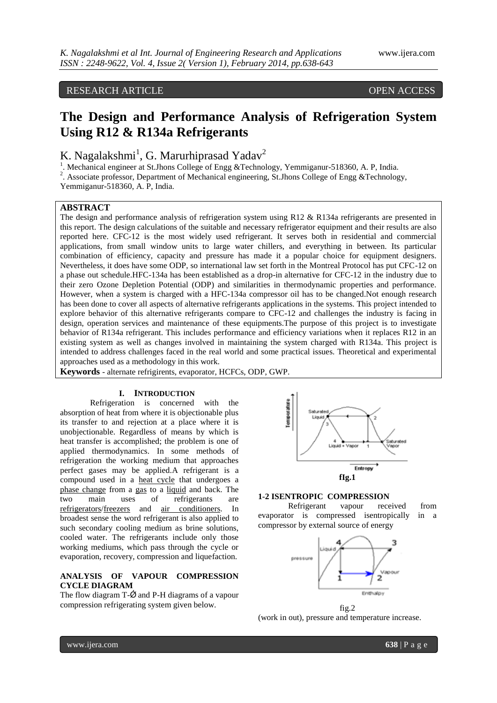# RESEARCH ARTICLE OPEN ACCESS

# **The Design and Performance Analysis of Refrigeration System Using R12 & R134a Refrigerants**

K. Nagalakshmi<sup>1</sup>, G. Marurhiprasad Yadav<sup>2</sup>

<sup>1</sup>. Mechanical engineer at St.Jhons College of Engg &Technology, Yemmiganur-518360, A. P, India.

<sup>2</sup>. Associate professor, Department of Mechanical engineering, St.Jhons College of Engg &Technology,

Yemmiganur-518360, A. P, India.

# **ABSTRACT**

The design and performance analysis of refrigeration system using R12 & R134a refrigerants are presented in this report. The design calculations of the suitable and necessary refrigerator equipment and their results are also reported here. CFC-12 is the most widely used refrigerant. It serves both in residential and commercial applications, from small window units to large water chillers, and everything in between. Its particular combination of efficiency, capacity and pressure has made it a popular choice for equipment designers. Nevertheless, it does have some ODP, so international law set forth in the Montreal Protocol has put CFC-12 on a phase out schedule.HFC-134a has been established as a drop-in alternative for CFC-12 in the industry due to their zero Ozone Depletion Potential (ODP) and similarities in thermodynamic properties and performance. However, when a system is charged with a HFC-134a compressor oil has to be changed.Not enough research has been done to cover all aspects of alternative refrigerants applications in the systems. This project intended to explore behavior of this alternative refrigerants compare to CFC-12 and challenges the industry is facing in design, operation services and maintenance of these equipments.The purpose of this project is to investigate behavior of R134a refrigerant. This includes performance and efficiency variations when it replaces R12 in an existing system as well as changes involved in maintaining the system charged with R134a. This project is intended to address challenges faced in the real world and some practical issues. Theoretical and experimental approaches used as a methodology in this work.

**Keywords** - alternate refrigirents, evaporator, HCFCs, ODP, GWP.

#### **I. INTRODUCTION**

Refrigeration is concerned with the absorption of heat from where it is objectionable plus its transfer to and rejection at a place where it is unobjectionable. Regardless of means by which is heat transfer is accomplished; the problem is one of applied thermodynamics. In some methods of refrigeration the working medium that approaches perfect gases may be applied.A refrigerant is a compound used in a [heat cycle](http://en.wikipedia.org/wiki/Heat_engine) that undergoes a [phase change](http://en.wikipedia.org/wiki/Phase_change) from a [gas](http://en.wikipedia.org/wiki/Gas) to a [liquid](http://en.wikipedia.org/wiki/Liquid) and back. The two main uses of refrigerants are [refrigerators/](http://en.wikipedia.org/wiki/Refrigerator)[freezers](http://en.wikipedia.org/wiki/Freezer) and [air conditioners.](http://en.wikipedia.org/wiki/Air_conditioner) In broadest sense the word refrigerant is also applied to such secondary cooling medium as brine solutions, cooled water. The refrigerants include only those working mediums, which pass through the cycle or evaporation, recovery, compression and liquefaction.

## **ANALYSIS OF VAPOUR COMPRESSION CYCLE DIAGRAM**

The flow diagram  $T-\vec{Q}$  and P-H diagrams of a vapour compression refrigerating system given below.



#### **1-2 ISENTROPIC COMPRESSION**

Refrigerant vapour received from evaporator is compressed isentropically in a compressor by external source of energy



fig.2 (work in out), pressure and temperature increase.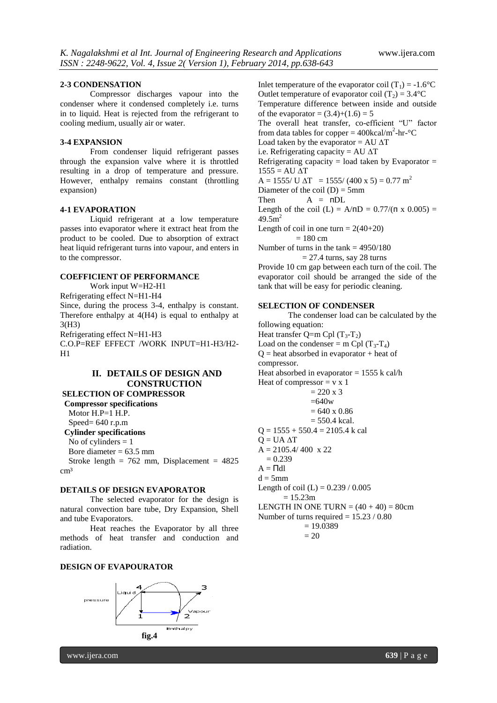#### **2-3 CONDENSATION**

Compressor discharges vapour into the condenser where it condensed completely i.e. turns in to liquid. Heat is rejected from the refrigerant to cooling medium, usually air or water.

#### **3-4 EXPANSION**

From condenser liquid refrigerant passes through the expansion valve where it is throttled resulting in a drop of temperature and pressure. However, enthalpy remains constant (throttling expansion)

#### **4-1 EVAPORATION**

Liquid refrigerant at a low temperature passes into evaporator where it extract heat from the product to be cooled. Due to absorption of extract heat liquid refrigerant turns into vapour, and enters in to the compressor.

#### **COEFFICIENT OF PERFORMANCE**

Work input W=H2-H1

Refrigerating effect N=H1-H4 Since, during the process 3-4, enthalpy is constant. Therefore enthalpy at 4(H4) is equal to enthalpy at 3(H3)

Refrigerating effect N=H1-H3

C.O.P=REF EFFECT /WORK INPUT=H1-H3/H2-  $H1$ 

# **II. DETAILS OF DESIGN AND CONSTRUCTION**

**SELECTION OF COMPRESSOR Compressor specifications**

Motor H.P=1 H.P.

Speed= 640 r.p.m

 **Cylinder specifications**

No of cylinders  $= 1$ 

Bore diameter  $= 63.5$  mm

Stroke length =  $762$  mm, Displacement =  $4825$ cm<sup>3</sup>

#### **DETAILS OF DESIGN EVAPORATOR**

The selected evaporator for the design is natural convection bare tube, Dry Expansion, Shell and tube Evaporators.

Heat reaches the Evaporator by all three methods of heat transfer and conduction and radiation.

#### **DESIGN OF EVAPOURATOR**



Inlet temperature of the evaporator coil  $(T_1) = -1.6$ °C Outlet temperature of evaporator coil  $(T_2) = 3.4$ °C Temperature difference between inside and outside of the evaporator =  $(3.4)+(1.6) = 5$ The overall heat transfer, co-efficient "U" factor from data tables for copper =  $400 \text{kcal/m}^2$ -hr- $\textdegree$ C Load taken by the evaporator = AU  $\Delta T$ i.e. Refrigerating capacity = AU  $\Delta T$ Refrigerating capacity  $=$  load taken by Evaporator  $=$  $1555 = AU \Delta T$  $A = 1555$ / U  $\Delta T = 1555$ / (400 x 5) = 0.77 m<sup>2</sup> Diameter of the coil  $(D) = 5$ mm Then  $A = \Pi DL$ Length of the coil (L) =  $A/AD = 0.77/(\pi \times 0.005)$  =  $49.5m<sup>2</sup>$ Length of coil in one turn =  $2(40+20)$  $= 180$  cm Number of turns in the tank  $= 4950/180$  $= 27.4$  turns, say 28 turns

Provide 10 cm gap between each turn of the coil. The evaporator coil should be arranged the side of the tank that will be easy for periodic cleaning.

## **SELECTION OF CONDENSER**

The condenser load can be calculated by the following equation: Heat transfer  $Q=$ m Cpl  $(T_3-T_2)$ Load on the condenser = m Cpl  $(T_3-T_4)$  $Q =$  heat absorbed in evaporator + heat of compressor. Heat absorbed in evaporator  $= 1555$  k cal/h Heat of compressor  $= v x 1$  $= 220 \times 3$  $=640w$  $= 640 \times 0.86$  $= 550.4$  kcal.  $Q = 1555 + 550.4 = 2105.4$  k cal  $Q = UA \Delta T$  $A = 2105.4/400 \times 22$  $= 0.239$  $A = \Pi d1$  $d = 5$ mm Length of coil (L) =  $0.239 / 0.005$  $= 15.23m$ LENGTH IN ONE TURN  $= (40 + 40) = 80$ cm Number of turns required  $= 15.23 / 0.80$  $= 19.0389$ 

$$
=20
$$

www.ijera.com **639** | P a g e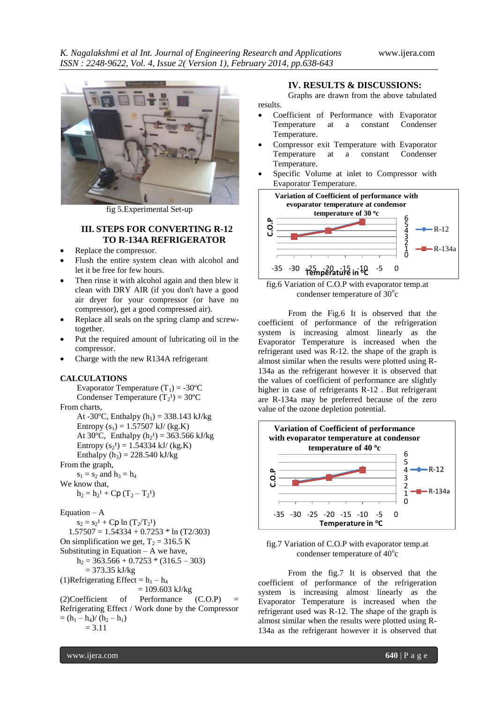

fig 5.Experimental Set-up

# **III. STEPS FOR CONVERTING R-12 TO R-134A REFRIGERATOR**

- Replace the compressor.
- Flush the entire system clean with alcohol and let it be free for few hours.
- Then rinse it with alcohol again and then blew it clean with DRY AIR (if you don't have a good air dryer for your compressor (or have no compressor), get a good compressed air).
- Replace all seals on the spring clamp and screwtogether.
- Put the required amount of lubricating oil in the compressor.
- Charge with the new R134A refrigerant

#### **CALCULATIONS**

Evaporator Temperature  $(T_1) = -30$ <sup>o</sup>C Condenser Temperature  $(T_2^1) = 30^{\circ}$ C From charts,

At -30 $^{\circ}$ C, Enthalpy (h<sub>1</sub>) = 338.143 kJ/kg Entropy  $(s_1) = 1.57507$  kJ/ (kg.K) At 30°C, Enthalpy  $(h_2^1) = 363.566$  kJ/kg Entropy  $(s_2^1) = 1.54334 \text{ kJ} / (\text{kg.K})$ Enthalpy  $(h_3) = 228.540 \text{ kJ/kg}$ 

#### From the graph,

 $s_1 = s_2$  and  $h_3 = h_4$ We know that,

 $h_2 = h_2^1 + Cp (T_2 - T_2^1)$ 

#### Equation  $- A$

 $s_2 = s_2^1 + Cp \ln (T_2/T_2^1)$  $1.57507 = 1.54334 + 0.7253 * ln (T2/303)$ On simplification we get,  $T_2 = 316.5$  K Substituting in Equation  $- A$  we have,  $h_2 = 363.566 + 0.7253 * (316.5 - 303)$  $= 373.35$  kJ/kg (1)Refrigerating Effect =  $h_1 - h_4$  $= 109.603$  kJ/kg  $(2)$ Coefficient of Performance  $(C.O.P)$  = Refrigerating Effect / Work done by the Compressor  $=$   $(h_1 - h_4) / (h_2 - h_1)$  $= 3.11$ 

#### **IV. RESULTS & DISCUSSIONS:**

Graphs are drawn from the above tabulated results.

- Coefficient of Performance with Evaporator<br>Temperature at a constant Condenser Temperature at a constant Temperature.
- Compressor exit Temperature with Evaporator Temperature at a constant Condenser Temperature.
- Specific Volume at inlet to Compressor with Evaporator Temperature.





From the Fig.6 It is observed that the coefficient of performance of the refrigeration system is increasing almost linearly as the Evaporator Temperature is increased when the refrigerant used was R-12. the shape of the graph is almost similar when the results were plotted using R-134a as the refrigerant however it is observed that the values of coefficient of performance are slightly higher in case of refrigerants R-12 . But refrigerant are R-134a may be preferred because of the zero value of the ozone depletion potential.



#### fig.7 Variation of C.O.P with evaporator temp.at condenser temperature of  $40^{\circ}$ c

From the fig.7 It is observed that the coefficient of performance of the refrigeration system is increasing almost linearly as the Evaporator Temperature is increased when the refrigerant used was R-12. The shape of the graph is almost similar when the results were plotted using R-134a as the refrigerant however it is observed that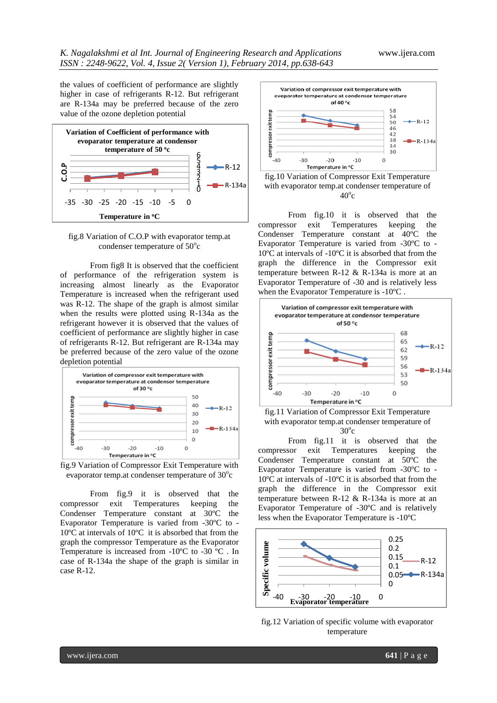the values of coefficient of performance are slightly higher in case of refrigerants R-12. But refrigerant are R-134a may be preferred because of the zero value of the ozone depletion potential



fig.8 Variation of C.O.P with evaporator temp.at condenser temperature of  $50^{\circ}$ c

From fig8 It is observed that the coefficient of performance of the refrigeration system is increasing almost linearly as the Evaporator Temperature is increased when the refrigerant used was R-12. The shape of the graph is almost similar when the results were plotted using R-134a as the refrigerant however it is observed that the values of coefficient of performance are slightly higher in case of refrigerants R-12. But refrigerant are R-134a may be preferred because of the zero value of the ozone depletion potential



fig.9 Variation of Compressor Exit Temperature with evaporator temp.at condenser temperature of  $30^{\circ}$ c

From fig.9 it is observed that the compressor exit Temperatures keeping the Condenser Temperature constant at 30ºC the Evaporator Temperature is varied from -30ºC to - 10ºC at intervals of 10ºC it is absorbed that from the graph the compressor Temperature as the Evaporator Temperature is increased from -10ºC to -30 ºC . In case of R-134a the shape of the graph is similar in case R-12.



fig.10 Variation of Compressor Exit Temperature with evaporator temp.at condenser temperature of  $40^{\circ}$ c

From fig.10 it is observed that the compressor exit Temperatures keeping the Condenser Temperature constant at 40ºC the Evaporator Temperature is varied from -30ºC to - 10ºC at intervals of -10ºC it is absorbed that from the graph the difference in the Compressor exit temperature between R-12 & R-134a is more at an Evaporator Temperature of -30 and is relatively less when the Evaporator Temperature is -10ºC .





From fig.11 it is observed that the compressor exit Temperatures keeping the Condenser Temperature constant at 50ºC the Evaporator Temperature is varied from -30ºC to - 10ºC at intervals of -10ºC it is absorbed that from the graph the difference in the Compressor exit temperature between R-12 & R-134a is more at an Evaporator Temperature of -30ºC and is relatively less when the Evaporator Temperature is -10ºC



fig.12 Variation of specific volume with evaporator temperature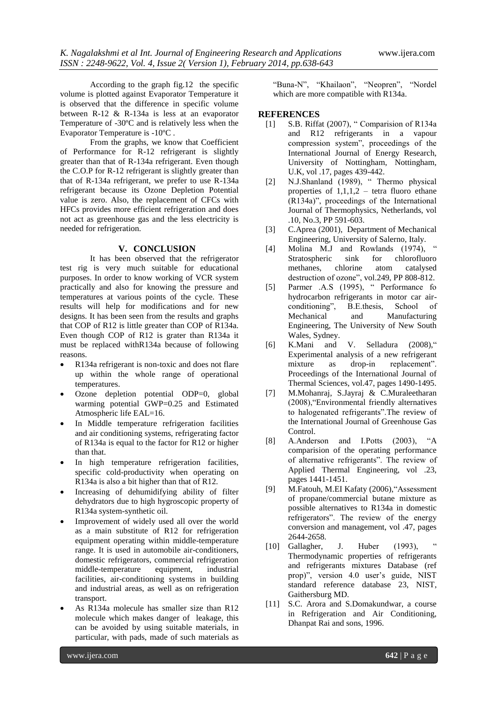According to the graph fig.12 the specific volume is plotted against Evaporator Temperature it is observed that the difference in specific volume between R-12 & R-134a is less at an evaporator Temperature of -30ºC and is relatively less when the Evaporator Temperature is -10ºC .

From the graphs, we know that Coefficient of Performance for R-12 refrigerant is slightly greater than that of R-134a refrigerant. Even though the C.O.P for R-12 refrigerant is slightly greater than that of R-134a refrigerant, we prefer to use R-134a refrigerant because its Ozone Depletion Potential value is zero. Also, the replacement of CFCs with HFCs provides more efficient refrigeration and does not act as greenhouse gas and the less electricity is needed for refrigeration.

#### **V. CONCLUSION**

It has been observed that the refrigerator test rig is very much suitable for educational purposes. In order to know working of VCR system practically and also for knowing the pressure and temperatures at various points of the cycle. These results will help for modifications and for new designs. It has been seen from the results and graphs that COP of R12 is little greater than COP of R134a. Even though COP of R12 is grater than R134a it must be replaced withR134a because of following reasons.

- R134a refrigerant is non-toxic and does not flare up within the whole range of operational temperatures.
- Ozone depletion potential ODP=0, global warming potential GWP=0.25 and Estimated Atmospheric life EAL=16.
- In Middle temperature refrigeration facilities and air conditioning systems, refrigerating factor of R134a is equal to the factor for R12 or higher than that.
- In high temperature refrigeration facilities, specific cold-productivity when operating on R134a is also a bit higher than that of R12.
- Increasing of dehumidifying ability of filter dehydrators due to high hygroscopic property of R134a system-synthetic oil.
- Improvement of widely used all over the world as a main substitute of R12 for refrigeration equipment operating within middle-temperature range. It is used in automobile air-conditioners, domestic refrigerators, commercial refrigeration middle-temperature equipment, industrial facilities, air-conditioning systems in building and industrial areas, as well as on refrigeration transport.
- As R134a molecule has smaller size than R12 molecule which makes danger of leakage, this can be avoided by using suitable materials, in particular, with pads, made of such materials as

"Buna-N", "Khailaon", "Neopren", "Nordel which are more compatible with R134a.

#### **REFERENCES**

- [1] S.B. Riffat (2007), " Comparision of R134a and R12 refrigerants in a vapour compression system", proceedings of the International Journal of Energy Research, University of Nottingham, Nottingham, U.K, vol .17, pages 439-442.
- [2] N.J.Shanland (1989), " Thermo physical properties of  $1,1,1,2$  – tetra fluoro ethane (R134a)", proceedings of the International Journal of Thermophysics, Netherlands, vol .10, No.3, PP 591-603.
- [3] C.Aprea (2001), Department of Mechanical Engineering, University of Salerno, Italy.
- $[4]$  Molina M.J and Rowlands  $(1974)$ , Stratospheric sink for chlorofluoro methanes, chlorine atom catalysed destruction of ozone", vol.249, PP 808-812.
- [5] Parmer .A.S (1995), " Performance fo hydrocarbon refrigerants in motor car airconditioning", B.E.thesis, School of Mechanical and Manufacturing Engineering, The University of New South Wales, Sydney.
- [6] K.Mani and V. Selladura (2008)," Experimental analysis of a new refrigerant mixture as drop-in replacement". Proceedings of the International Journal of Thermal Sciences, vol.47, pages 1490-1495.
- [7] M.Mohanraj, S.Jayraj & C.Muraleetharan (2008),"Environmental friendly alternatives to halogenated refrigerants".The review of the International Journal of Greenhouse Gas Control.
- [8] A.Anderson and I.Potts (2003), "A comparision of the operating performance of alternative refrigerants". The review of Applied Thermal Engineering, vol .23, pages 1441-1451.
- [9] M.Fatouh, M.EI Kafaty (2006),"Assessment of propane/commercial butane mixture as possible alternatives to R134a in domestic refrigerators". The review of the energy conversion and management, vol .47, pages 2644-2658.
- $[10]$  Gallagher, J. Huber  $(1993)$ Thermodynamic properties of refrigerants and refrigerants mixtures Database (ref prop)", version 4.0 user's guide, NIST standard reference database 23, NIST, Gaithersburg MD.
- [11] S.C. Arora and S.Domakundwar, a course in Refrigeration and Air Conditioning, Dhanpat Rai and sons, 1996.